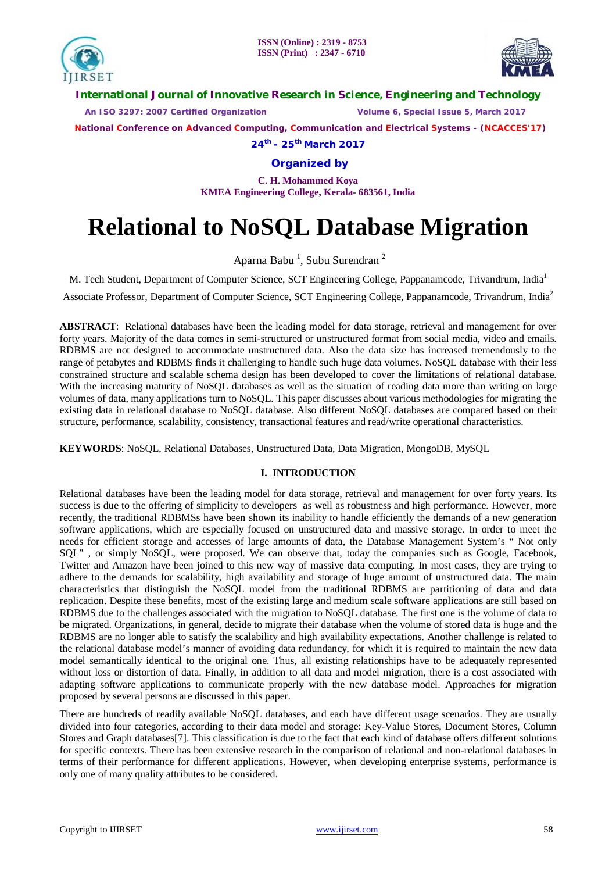



**International Journal of Innovative Research in Science, Engineering and Technology**

 *An ISO 3297: 2007 Certified Organization Volume 6, Special Issue 5, March 2017*

 **National Conference on Advanced Computing, Communication and Electrical Systems - (NCACCES'17)**

**24th - 25th March 2017**

**Organized by**

**C. H. Mohammed Koya KMEA Engineering College, Kerala- 683561, India** 

# **Relational to NoSQL Database Migration**

Aparna Babu<sup>1</sup>, Subu Surendran<sup>2</sup>

M. Tech Student, Department of Computer Science, SCT Engineering College, Pappanamcode, Trivandrum, India<sup>1</sup>

Associate Professor, Department of Computer Science, SCT Engineering College, Pappanamcode, Trivandrum, India<sup>2</sup>

**ABSTRACT**: Relational databases have been the leading model for data storage, retrieval and management for over forty years. Majority of the data comes in semi-structured or unstructured format from social media, video and emails. RDBMS are not designed to accommodate unstructured data. Also the data size has increased tremendously to the range of petabytes and RDBMS finds it challenging to handle such huge data volumes. NoSQL database with their less constrained structure and scalable schema design has been developed to cover the limitations of relational database. With the increasing maturity of NoSOL databases as well as the situation of reading data more than writing on large volumes of data, many applications turn to NoSQL. This paper discusses about various methodologies for migrating the existing data in relational database to NoSQL database. Also different NoSQL databases are compared based on their structure, performance, scalability, consistency, transactional features and read/write operational characteristics.

**KEYWORDS**: NoSQL, Relational Databases, Unstructured Data, Data Migration, MongoDB, MySQL

### **I. INTRODUCTION**

Relational databases have been the leading model for data storage, retrieval and management for over forty years. Its success is due to the offering of simplicity to developers as well as robustness and high performance. However, more recently, the traditional RDBMSs have been shown its inability to handle efficiently the demands of a new generation software applications, which are especially focused on unstructured data and massive storage. In order to meet the needs for efficient storage and accesses of large amounts of data, the Database Management System's " Not only SQL" , or simply NoSQL, were proposed. We can observe that, today the companies such as Google, Facebook, Twitter and Amazon have been joined to this new way of massive data computing. In most cases, they are trying to adhere to the demands for scalability, high availability and storage of huge amount of unstructured data. The main characteristics that distinguish the NoSQL model from the traditional RDBMS are partitioning of data and data replication. Despite these benefits, most of the existing large and medium scale software applications are still based on RDBMS due to the challenges associated with the migration to NoSQL database. The first one is the volume of data to be migrated. Organizations, in general, decide to migrate their database when the volume of stored data is huge and the RDBMS are no longer able to satisfy the scalability and high availability expectations. Another challenge is related to the relational database model's manner of avoiding data redundancy, for which it is required to maintain the new data model semantically identical to the original one. Thus, all existing relationships have to be adequately represented without loss or distortion of data. Finally, in addition to all data and model migration, there is a cost associated with adapting software applications to communicate properly with the new database model. Approaches for migration proposed by several persons are discussed in this paper.

There are hundreds of readily available NoSQL databases, and each have different usage scenarios. They are usually divided into four categories, according to their data model and storage: Key-Value Stores, Document Stores, Column Stores and Graph databases[7]. This classification is due to the fact that each kind of database offers different solutions for specific contexts. There has been extensive research in the comparison of relational and non-relational databases in terms of their performance for different applications. However, when developing enterprise systems, performance is only one of many quality attributes to be considered.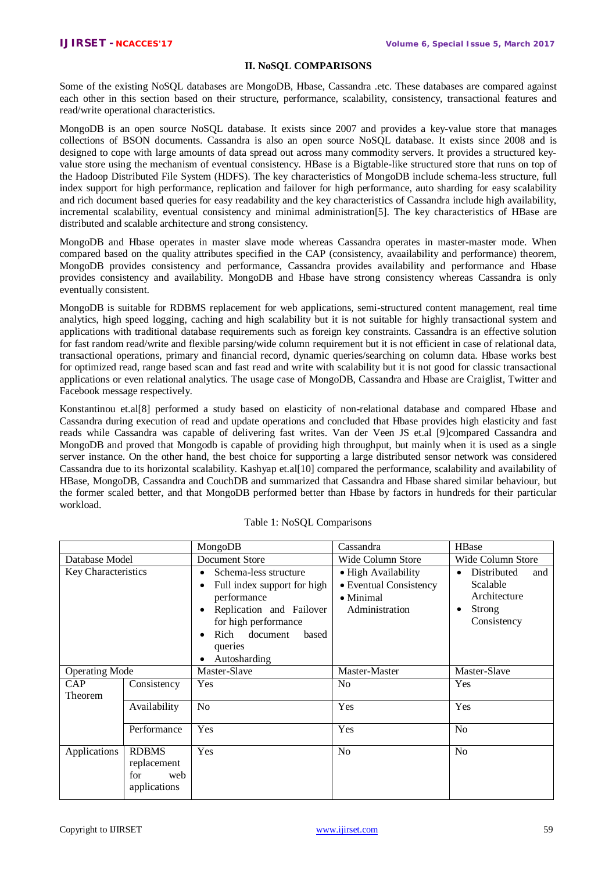### **II. NoSQL COMPARISONS**

Some of the existing NoSQL databases are MongoDB, Hbase, Cassandra .etc. These databases are compared against each other in this section based on their structure, performance, scalability, consistency, transactional features and read/write operational characteristics.

MongoDB is an open source NoSQL database. It exists since 2007 and provides a key-value store that manages collections of BSON documents. Cassandra is also an open source NoSQL database. It exists since 2008 and is designed to cope with large amounts of data spread out across many commodity servers. It provides a structured keyvalue store using the mechanism of eventual consistency. HBase is a Bigtable-like structured store that runs on top of the Hadoop Distributed File System (HDFS). The key characteristics of MongoDB include schema-less structure, full index support for high performance, replication and failover for high performance, auto sharding for easy scalability and rich document based queries for easy readability and the key characteristics of Cassandra include high availability, incremental scalability, eventual consistency and minimal administration[5]. The key characteristics of HBase are distributed and scalable architecture and strong consistency.

MongoDB and Hbase operates in master slave mode whereas Cassandra operates in master-master mode. When compared based on the quality attributes specified in the CAP (consistency, avaailability and performance) theorem, MongoDB provides consistency and performance, Cassandra provides availability and performance and Hbase provides consistency and availability. MongoDB and Hbase have strong consistency whereas Cassandra is only eventually consistent.

MongoDB is suitable for RDBMS replacement for web applications, semi-structured content management, real time analytics, high speed logging, caching and high scalability but it is not suitable for highly transactional system and applications with traditional database requirements such as foreign key constraints. Cassandra is an effective solution for fast random read/write and flexible parsing/wide column requirement but it is not efficient in case of relational data, transactional operations, primary and financial record, dynamic queries/searching on column data. Hbase works best for optimized read, range based scan and fast read and write with scalability but it is not good for classic transactional applications or even relational analytics. The usage case of MongoDB, Cassandra and Hbase are Craiglist, Twitter and Facebook message respectively.

Konstantinou et.al[8] performed a study based on elasticity of non-relational database and compared Hbase and Cassandra during execution of read and update operations and concluded that Hbase provides high elasticity and fast reads while Cassandra was capable of delivering fast writes. Van der Veen JS et.al [9]compared Cassandra and MongoDB and proved that Mongodb is capable of providing high throughput, but mainly when it is used as a single server instance. On the other hand, the best choice for supporting a large distributed sensor network was considered Cassandra due to its horizontal scalability. Kashyap et.al[10] compared the performance, scalability and availability of HBase, MongoDB, Cassandra and CouchDB and summarized that Cassandra and Hbase shared similar behaviour, but the former scaled better, and that MongoDB performed better than Hbase by factors in hundreds for their particular workload.

|                       |                                                           | MongoDB                                                                                                                                                                      | Cassandra                                                                            | <b>HBase</b>                                                                              |
|-----------------------|-----------------------------------------------------------|------------------------------------------------------------------------------------------------------------------------------------------------------------------------------|--------------------------------------------------------------------------------------|-------------------------------------------------------------------------------------------|
| Database Model        |                                                           | Document Store                                                                                                                                                               | Wide Column Store                                                                    | Wide Column Store                                                                         |
| Key Characteristics   |                                                           | Schema-less structure<br>Full index support for high<br>performance<br>Replication and Failover<br>for high performance<br>Rich document<br>based<br>queries<br>Autosharding | • High Availability<br>• Eventual Consistency<br>$\bullet$ Minimal<br>Administration | Distributed<br>and<br>$\bullet$<br>Scalable<br>Architecture<br>Strong<br>٠<br>Consistency |
| <b>Operating Mode</b> |                                                           | Master-Slave                                                                                                                                                                 | Master-Master                                                                        | Master-Slave                                                                              |
| <b>CAP</b><br>Theorem | Consistency                                               | Yes                                                                                                                                                                          | N <sub>o</sub>                                                                       | Yes                                                                                       |
|                       | Availability                                              | No                                                                                                                                                                           | Yes                                                                                  | Yes                                                                                       |
|                       | Performance                                               | Yes                                                                                                                                                                          | Yes                                                                                  | N <sub>o</sub>                                                                            |
| Applications          | <b>RDBMS</b><br>replacement<br>for<br>web<br>applications | Yes                                                                                                                                                                          | N <sub>o</sub>                                                                       | N <sub>o</sub>                                                                            |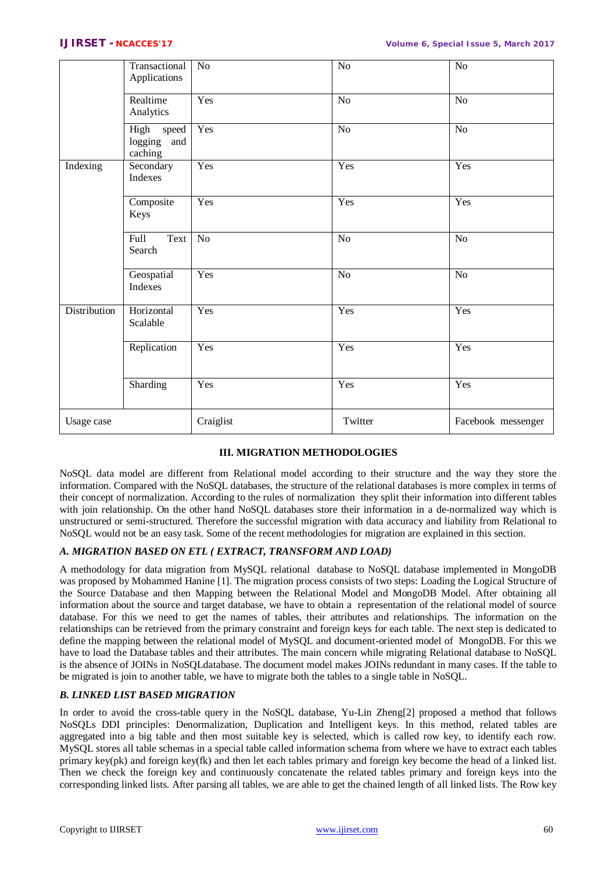|              | Transactional<br>Applications              | $\rm No$       | $\rm No$        | $\rm No$           |
|--------------|--------------------------------------------|----------------|-----------------|--------------------|
|              | Realtime<br>Analytics                      | Yes            | N <sub>o</sub>  | N <sub>o</sub>     |
|              | High<br>speed<br>logging<br>and<br>caching | Yes            | No              | No                 |
| Indexing     | Secondary<br>Indexes                       | Yes            | Yes             | Yes                |
|              | Composite<br>Keys                          | Yes            | Yes             | Yes                |
|              | Full<br>Text<br>Search                     | N <sub>o</sub> | $\overline{No}$ | N <sub>o</sub>     |
|              | Geospatial<br>Indexes                      | Yes            | $\overline{No}$ | $\overline{No}$    |
| Distribution | Horizontal<br>Scalable                     | Yes            | Yes             | Yes                |
|              | Replication                                | Yes            | Yes             | Yes                |
|              | Sharding                                   | Yes            | Yes             | Yes                |
| Usage case   |                                            | Craiglist      | Twitter         | Facebook messenger |

# **III. MIGRATION METHODOLOGIES**

NoSQL data model are different from Relational model according to their structure and the way they store the information. Compared with the NoSQL databases, the structure of the relational databases is more complex in terms of their concept of normalization. According to the rules of normalization they split their information into different tables with join relationship. On the other hand NoSOL databases store their information in a de-normalized way which is unstructured or semi-structured. Therefore the successful migration with data accuracy and liability from Relational to NoSQL would not be an easy task. Some of the recent methodologies for migration are explained in this section.

## *A. MIGRATION BASED ON ETL ( EXTRACT, TRANSFORM AND LOAD)*

A methodology for data migration from MySQL relational database to NoSQL database implemented in MongoDB was proposed by Mohammed Hanine [1]. The migration process consists of two steps: Loading the Logical Structure of the Source Database and then Mapping between the Relational Model and MongoDB Model. After obtaining all information about the source and target database, we have to obtain a representation of the relational model of source database. For this we need to get the names of tables, their attributes and relationships. The information on the relationships can be retrieved from the primary constraint and foreign keys for each table. The next step is dedicated to define the mapping between the relational model of MySQL and document-oriented model of MongoDB. For this we have to load the Database tables and their attributes. The main concern while migrating Relational database to NoSQL is the absence of JOINs in NoSQLdatabase. The document model makes JOINs redundant in many cases. If the table to be migrated is join to another table, we have to migrate both the tables to a single table in NoSQL.

# *B. LINKED LIST BASED MIGRATION*

In order to avoid the cross-table query in the NoSQL database, Yu-Lin Zheng[2] proposed a method that follows NoSQLs DDI principles: Denormalization, Duplication and Intelligent keys. In this method, related tables are aggregated into a big table and then most suitable key is selected, which is called row key, to identify each row. MySQL stores all table schemas in a special table called information schema from where we have to extract each tables primary key(pk) and foreign key(fk) and then let each tables primary and foreign key become the head of a linked list. Then we check the foreign key and continuously concatenate the related tables primary and foreign keys into the corresponding linked lists. After parsing all tables, we are able to get the chained length of all linked lists. The Row key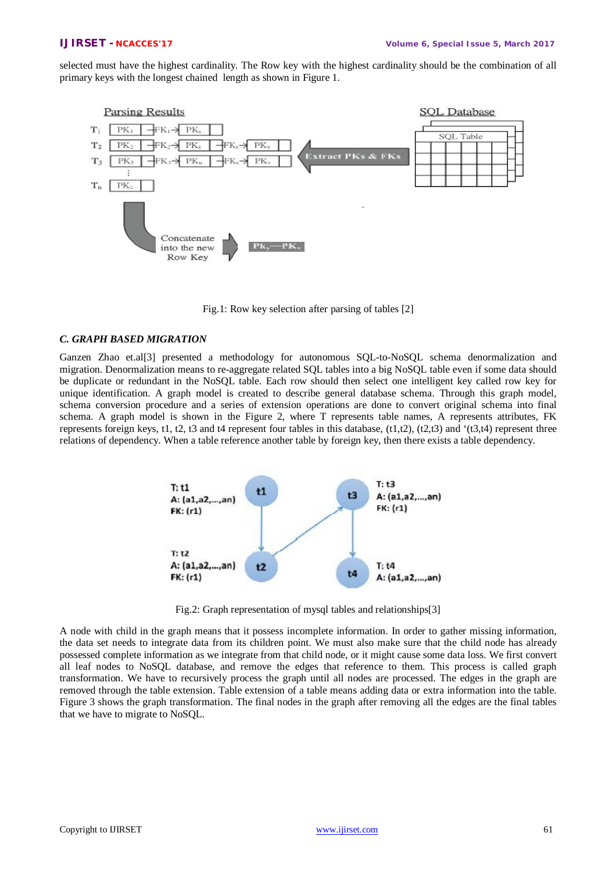selected must have the highest cardinality. The Row key with the highest cardinality should be the combination of all primary keys with the longest chained length as shown in Figure 1.



Fig.1: Row key selection after parsing of tables [2]

### *C. GRAPH BASED MIGRATION*

Ganzen Zhao et.al[3] presented a methodology for autonomous SQL-to-NoSQL schema denormalization and migration. Denormalization means to re-aggregate related SQL tables into a big NoSQL table even if some data should be duplicate or redundant in the NoSQL table. Each row should then select one intelligent key called row key for unique identification. A graph model is created to describe general database schema. Through this graph model, schema conversion procedure and a series of extension operations are done to convert original schema into final schema. A graph model is shown in the Figure 2, where T represents table names, A represents attributes, FK represents foreign keys, t1, t2, t3 and t4 represent four tables in this database,  $(t1,t2)$ ,  $(t2,t3)$  and  $'(t3,t4)$  represent three relations of dependency. When a table reference another table by foreign key, then there exists a table dependency.



Fig.2: Graph representation of mysql tables and relationships[3]

A node with child in the graph means that it possess incomplete information. In order to gather missing information, the data set needs to integrate data from its children point. We must also make sure that the child node has already possessed complete information as we integrate from that child node, or it might cause some data loss. We first convert all leaf nodes to NoSQL database, and remove the edges that reference to them. This process is called graph transformation. We have to recursively process the graph until all nodes are processed. The edges in the graph are removed through the table extension. Table extension of a table means adding data or extra information into the table. Figure 3 shows the graph transformation. The final nodes in the graph after removing all the edges are the final tables that we have to migrate to NoSQL.